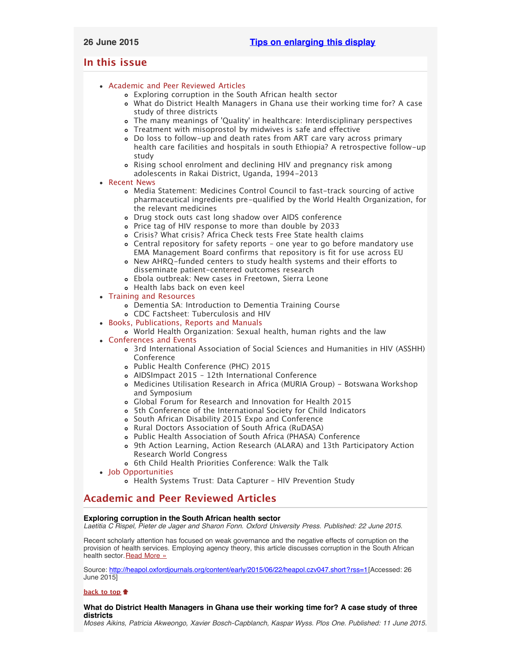# <span id="page-0-3"></span>**In this issue**

- [Academic and Peer Reviewed Articles](#page-0-0)
	- [Exploring corruption in the South African health sector](#page-0-1)
	- [What do District Health Managers in Ghana use their working time for? A case](#page-0-2) [study of three districts](#page-0-2)
	- The many meanings of ['Quality' in healthcare: Interdisciplinary perspectives](#page-1-0)
	- [Treatment with misoprostol by midwives is safe and effective](#page-1-1)
	- [Do loss to follow-up and death rates from ART care vary across primary](#page-1-2) [health care facilities and hospitals in south Ethiopia? A retrospective follow-up](#page-1-2) [study](#page-1-2)
	- [Rising school enrolment and declining HIV and pregnancy risk among](#page-1-3) [adolescents in Rakai District, Uganda, 1994-2013](#page-1-3)

# [Recent News](#page-1-4)

- [Media Statement: Medicines Control Council to fast-track sourcing of active](#page-1-5) [pharmaceutical ingredients pre-qualified by the World Health Organization, for](#page-1-5) [the relevant medicines](#page-1-5)
- [Drug stock outs cast long shadow over AIDS conference](#page-1-6)
- [Price tag of HIV response to more than double by 2033](#page-2-0)
- [Crisis? What crisis? Africa Check tests Free State health claims](#page-2-1)
- [Central repository for safety reports one year to go before mandatory use](#page-2-2) [EMA Management Board confirms that repository is fit for use across EU](#page-2-2)
- [New AHRQ-funded centers to study health systems and their efforts to](#page-2-3) [disseminate patient-centered outcomes research](#page-2-3)
- [Ebola outbreak: New cases in Freetown, Sierra Leone](#page-2-4)
- [Health labs back on even keel](#page-2-5)
- [Training and Resources](#page-2-6)
	- [Dementia SA: Introduction to Dementia Training Course](#page-2-7)
	- [CDC Factsheet: Tuberculosis and HIV](#page-3-0)
- [Books, Publications, Reports and Manuals](#page-3-1)
	- [World Health Organization: Sexual health, human rights and the law](#page-3-2)
- [Conferences and Events](#page-3-3)
	- [3rd International Association of Social Sciences and Humanities in HIV \(ASSHH\)](#page-3-4) [Conference](#page-3-4)
	- [Public Health Conference \(PHC\) 2015](#page-3-5)
	- [AIDSImpact 2015 12th International Conference](#page-3-6)
	- [Medicines Utilisation Research in Africa \(MURIA Group\) Botswana Workshop](#page-3-7) [and Symposium](#page-3-7)
	- [Global Forum for Research and Innovation for Health 2015](#page-3-8)
	- [5th Conference of the International Society for Child Indicators](#page-4-0)
	- o [South African Disability 2015 Expo and Conference](#page-4-1)
	- [Rural Doctors Association of South Africa \(RuDASA\)](#page-4-2)
	- [Public Health Association of South Africa \(PHASA\) Conference](#page-4-3)
	- [9th Action Learning, Action Research \(ALARA\) and 13th Participatory Action](#page-4-4) [Research World Congress](#page-4-4)
	- o [6th Child Health Priorities Conference: Walk the Talk](#page-4-5)
- [Job Opportunities](#page-4-6)
	- [Health Systems Trust: Data Capturer HIV Prevention Study](#page-5-0)

# <span id="page-0-0"></span>**Academic and Peer Reviewed Articles**

# <span id="page-0-1"></span>**Exploring corruption in the South African health sector**

*Laetitia C Rispel, Pieter de Jager and Sharon Fonn. Oxford University Press. Published: 22 June 2015.*

Recent scholarly attention has focused on weak governance and the negative effects of corruption on the provision of health services. Employing agency theory, this article discusses corruption in the South African health sector. [Read More »](http://heapol.oxfordjournals.org/content/early/2015/06/22/heapol.czv047.short?rss=1)

Source: [http://heapol.oxfordjournals.org/content/early/2015/06/22/heapol.czv047.short?rss=1\[](http://heapol.oxfordjournals.org/content/early/2015/06/22/heapol.czv047.short?rss=1)Accessed: 26 June 2015]

## **[back to top](#page-0-3)**

## <span id="page-0-2"></span>**What do District Health Managers in Ghana use their working time for? A case study of three districts**

*Moses Aikins, Patricia Akweongo, Xavier Bosch-Capblanch, Kaspar Wyss. Plos One. Published: 11 June 2015.*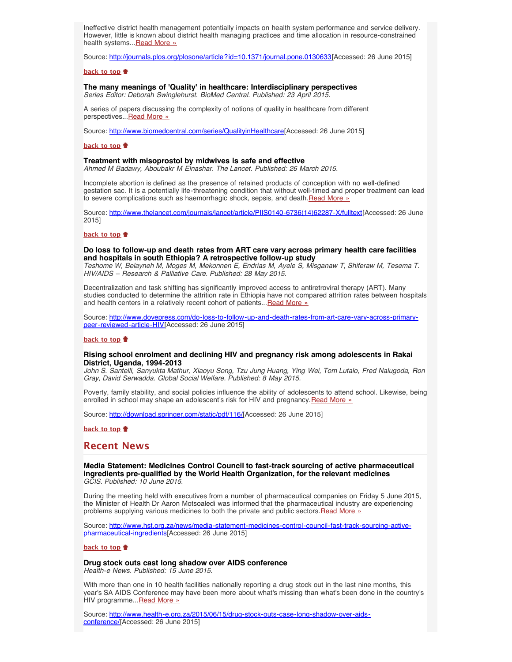Ineffective district health management potentially impacts on health system performance and service delivery. However, little is known about district health managing practices and time allocation in resource-constrained health systems... [Read More »](http://journals.plos.org/plosone/article?id=10.1371/journal.pone.0130633)

Source: <http://journals.plos.org/plosone/article?id=10.1371/journal.pone.0130633>[Accessed: 26 June 2015]

#### **[back to top](#page-0-3)**

## <span id="page-1-0"></span>**The many meanings of 'Quality' in healthcare: Interdisciplinary perspectives**

*Series Editor: Deborah Swinglehurst. BioMed Central. Published: 23 April 2015.*

A series of papers discussing the complexity of notions of quality in healthcare from different perspectives... Read More »

Source: <http://www.biomedcentral.com/series/QualityinHealthcare>[Accessed: 26 June 2015]

#### **[back to top](#page-0-3)**

#### <span id="page-1-1"></span>**Treatment with misoprostol by midwives is safe and effective**

*Ahmed M Badawy, Aboubakr M Elnashar. The Lancet. Published: 26 March 2015.*

Incomplete abortion is defined as the presence of retained products of conception with no well-defined gestation sac. It is a potentially life-threatening condition that without well-timed and proper treatment can lead to severe complications such as haemorrhagic shock, sepsis, and death. [Read More »](http://www.hst.org.za/publications/treatment-misoprostol-midwives-safe-and-effective)

Source: [http://www.thelancet.com/journals/lancet/article/PIIS0140-6736\(14\)62287-X/fulltext\[](http://www.thelancet.com/journals/lancet/article/PIIS0140-6736(14)62287-X/fulltext)Accessed: 26 June 2015]

#### **[back to top](#page-0-3)**

#### <span id="page-1-2"></span>**Do loss to follow-up and death rates from ART care vary across primary health care facilities and hospitals in south Ethiopia? A retrospective follow-up study**

*Teshome W, Belayneh M, Moges M, Mekonnen E, Endrias M, Ayele S, Misganaw T, Shiferaw M, Tesema T. HIV/AIDS – Research & Palliative Care. Published: 28 May 2015.*

Decentralization and task shifting has significantly improved access to antiretroviral therapy (ART). Many studies conducted to determine the attrition rate in Ethiopia have not compared attrition rates between hospitals and health centers in a relatively recent cohort of patients... [Read More »](http://www.dovepress.com/do-loss-to-follow-up-and-death-rates-from-art-care-vary-across-primary-peer-reviewed-article-HIV)

Source: [http://www.dovepress.com/do-loss-to-follow-up-and-death-rates-from-art-care-vary-across-primary](http://www.dovepress.com/do-loss-to-follow-up-and-death-rates-from-art-care-vary-across-primary-peer-reviewed-article-HIV)[peer-reviewed-article-HIV\[](http://www.dovepress.com/do-loss-to-follow-up-and-death-rates-from-art-care-vary-across-primary-peer-reviewed-article-HIV)Accessed: 26 June 2015]

### **[back to top](#page-0-3)**

### <span id="page-1-3"></span>**Rising school enrolment and declining HIV and pregnancy risk among adolescents in Rakai District, Uganda, 1994-2013**

*John S. Santelli, Sanyukta Mathur, Xiaoyu Song, Tzu Jung Huang, Ying Wei, Tom Lutalo, Fred Nalugoda, Ron Gray, David Serwadda. Global Social Welfare. Published: 8 May 2015.*

Poverty, family stability, and social policies influence the ability of adolescents to attend school. Likewise, being enrolled in school may shape an adolescent's risk for HIV and pregnancy. [Read More »](http://download.springer.com/static/pdf/116/art%253A10.1007%252Fs40609-015-0029-x.pdf?originUrl=http%3A%2F%2Flink.springer.com%2Farticle%2F10.1007%2Fs40609-015-0029-x&token2=exp=1435157433~acl=%2Fstatic%2Fpdf%2F116%2Fart%25253A10.1007%25252Fs40609-015-0029-x.pdf%3ForiginUrl%3Dhttp%253A%252F%252Flink.springer.com%252Farticle%252F10.1007%252Fs40609-015-0029-x*~hmac=846025ed289503f49321f2b8a19d3709197e50972e74f2fe3f4ffb5216c4379d)

Source: [http://download.springer.com/static/pdf/116/\[](http://download.springer.com/static/pdf/116/art%253A10.1007%252Fs40609-015-0029-x.pdf?originUrl=http%3A%2F%2Flink.springer.com%2Farticle%2F10.1007%2Fs40609-015-0029-x&token2=exp=1435157433~acl=%2Fstatic%2Fpdf%2F116%2Fart%25253A10.1007%25252Fs40609-015-0029-x.pdf%3ForiginUrl%3Dhttp%253A%252F%252Flink.springer.com%252Farticle%252F10.1007%252Fs40609-015-0029-x*~hmac=846025ed289503f49321f2b8a19d3709197e50972e74f2fe3f4ffb5216c4379d)Accessed: 26 June 2015]

**[back to top](#page-0-3)**

# <span id="page-1-4"></span>**Recent News**

<span id="page-1-5"></span>**Media Statement: Medicines Control Council to fast-track sourcing of active pharmaceutical ingredients pre-qualified by the World Health Organization, for the relevant medicines** *GCIS. Published: 10 June 2015.*

During the meeting held with executives from a number of pharmaceutical companies on Friday 5 June 2015, the Minister of Health Dr Aaron Motsoaledi was informed that the pharmaceutical industry are experiencing problems supplying various medicines to both the private and public sectors. [Read More »](http://www.hst.org.za/news/media-statement-medicines-control-council-fast-track-sourcing-active-pharmaceutical-ingredients)

Source: [http://www.hst.org.za/news/media-statement-medicines-control-council-fast-track-sourcing-active](http://www.hst.org.za/news/media-statement-medicines-control-council-fast-track-sourcing-active-pharmaceutical-ingredients)[pharmaceutical-ingredients\[](http://www.hst.org.za/news/media-statement-medicines-control-council-fast-track-sourcing-active-pharmaceutical-ingredients)Accessed: 26 June 2015]

## **[back to top](#page-0-3)**

<span id="page-1-6"></span>**Drug stock outs cast long shadow over AIDS conference** *Health-e News. Published: 15 June 2015.*

With more than one in 10 health facilities nationally reporting a drug stock out in the last nine months, this year's SA AIDS Conference may have been more about what's missing than what's been done in the country's HIV programme...[Read More »](http://www.health-e.org.za/2015/06/15/drug-stock-outs-case-long-shadow-over-aids-conference/)

Source: [http://www.health-e.org.za/2015/06/15/drug-stock-outs-case-long-shadow-over-aids](http://www.health-e.org.za/2015/06/15/drug-stock-outs-case-long-shadow-over-aids-conference/)[conference/\[](http://www.health-e.org.za/2015/06/15/drug-stock-outs-case-long-shadow-over-aids-conference/)Accessed: 26 June 2015]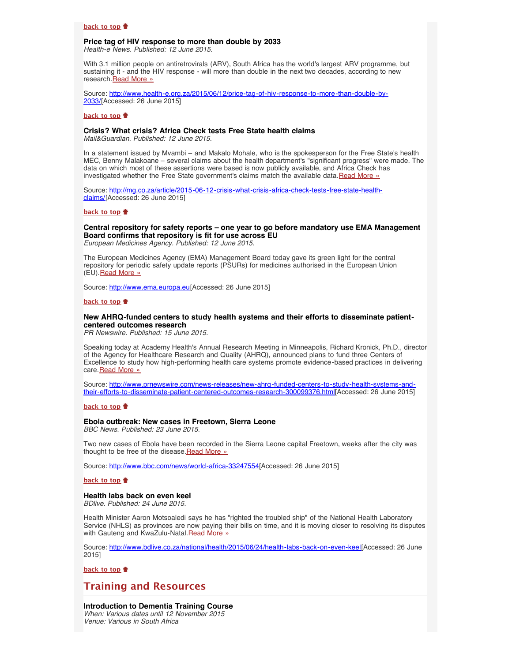### **[back to top](#page-0-3)**

#### <span id="page-2-0"></span>**Price tag of HIV response to more than double by 2033** *Health-e News. Published: 12 June 2015.*

With 3.1 million people on antiretrovirals (ARV), South Africa has the world's largest ARV programme, but sustaining it - and the HIV response - will more than double in the next two decades, according to new research. [Read More »](http://www.health-e.org.za/2015/06/12/price-tag-of-hiv-response-to-more-than-double-by-2033/)

Source: [http://www.health-e.org.za/2015/06/12/price-tag-of-hiv-response-to-more-than-double-by-](http://www.health-e.org.za/2015/06/12/price-tag-of-hiv-response-to-more-than-double-by-2033/)[2033/](http://www.health-e.org.za/2015/06/12/price-tag-of-hiv-response-to-more-than-double-by-2033/)[Accessed: 26 June 2015]

#### **[back to top](#page-0-3)**

#### <span id="page-2-1"></span>**Crisis? What crisis? Africa Check tests Free State health claims**

*Mail&Guardian. Published: 12 June 2015.*

In a statement issued by Mvambi – and Makalo Mohale, who is the spokesperson for the Free State's health MEC, Benny Malakoane – several claims about the health department's "significant progress" were made. The data on which most of these assertions were based is now publicly available, and Africa Check has investigated whether the Free State government's claims match the available data. [Read More »](http://www.hst.org.za/news/crisis-what-crisis-africa-check-tests-free-state-health-claims)

Source: [http://mg.co.za/article/2015-06-12-crisis-what-crisis-africa-check-tests-free-state-health](http://mg.co.za/article/2015-06-12-crisis-what-crisis-africa-check-tests-free-state-health-claims/)[claims/](http://mg.co.za/article/2015-06-12-crisis-what-crisis-africa-check-tests-free-state-health-claims/)[Accessed: 26 June 2015]

## **[back to top](#page-0-3)**

<span id="page-2-2"></span>**Central repository for safety reports – one year to go before mandatory use EMA Management Board confirms that repository is fit for use across EU**

*European Medicines Agency. Published: 12 June 2015.*

The European Medicines Agency (EMA) Management Board today gave its green light for the central repository for periodic safety update reports (PSURs) for medicines authorised in the European Union (EU). [Read More »](http://www.ema.europa.eu/ema/index.jsp?curl=pages/news_and_events/news/2015/06/news_detail_002346.jsp&mid=WC0b01ac058004d5c1)

Source: [http://www.ema.europa.eu\[](http://www.ema.europa.eu/ema/index.jsp?curl=pages/news_and_events/news/2015/06/news_detail_002346.jsp&mid=WC0b01ac058004d5c1)Accessed: 26 June 2015]

## **[back to top](#page-0-3)**

## <span id="page-2-3"></span>**New AHRQ-funded centers to study health systems and their efforts to disseminate patientcentered outcomes research**

*PR Newswire. Published: 15 June 2015.*

Speaking today at Academy Health's Annual Research Meeting in Minneapolis, Richard Kronick, Ph.D., director of the Agency for Healthcare Research and Quality (AHRQ), announced plans to fund three Centers of Excellence to study how high-performing health care systems promote evidence-based practices in delivering care. [Read More »](http://www.hst.org.za/news/new-ahrq-funded-centers-study-health-systems-and-their-efforts-disseminate-patient-centered-out)

Source: [http://www.prnewswire.com/news-releases/new-ahrq-funded-centers-to-study-health-systems-and](http://www.prnewswire.com/news-releases/new-ahrq-funded-centers-to-study-health-systems-and-their-efforts-to-disseminate-patient-centered-outcomes-research-300099376.html)[their-efforts-to-disseminate-patient-centered-outcomes-research-300099376.html\[](http://www.prnewswire.com/news-releases/new-ahrq-funded-centers-to-study-health-systems-and-their-efforts-to-disseminate-patient-centered-outcomes-research-300099376.html)Accessed: 26 June 2015]

#### **[back to top](#page-0-3)**

## <span id="page-2-4"></span>**Ebola outbreak: New cases in Freetown, Sierra Leone**

*BBC News. Published: 23 June 2015.*

Two new cases of Ebola have been recorded in the Sierra Leone capital Freetown, weeks after the city was thought to be free of the disease. [Read More »](http://www.bbc.com/news/world-africa-33247554)

Source: <http://www.bbc.com/news/world-africa-33247554>[Accessed: 26 June 2015]

#### **[back to top](#page-0-3)**

# <span id="page-2-5"></span>**Health labs back on even keel**

*BDlive. Published: 24 June 2015.*

Health Minister Aaron Motsoaledi says he has "righted the troubled ship" of the National Health Laboratory Service (NHLS) as provinces are now paying their bills on time, and it is moving closer to resolving its disputes with Gauteng and KwaZulu-Natal. Read More »

Source: [http://www.bdlive.co.za/national/health/2015/06/24/health-labs-back-on-even-keel\[](http://www.bdlive.co.za/national/health/2015/06/24/health-labs-back-on-even-keel)Accessed: 26 June 2015]

**[back to top](#page-0-3)**

# <span id="page-2-6"></span>**Training and Resources**

#### <span id="page-2-7"></span>**Introduction to Dementia Training Course**

*When: Various dates until 12 November 2015 Venue: Various in South Africa*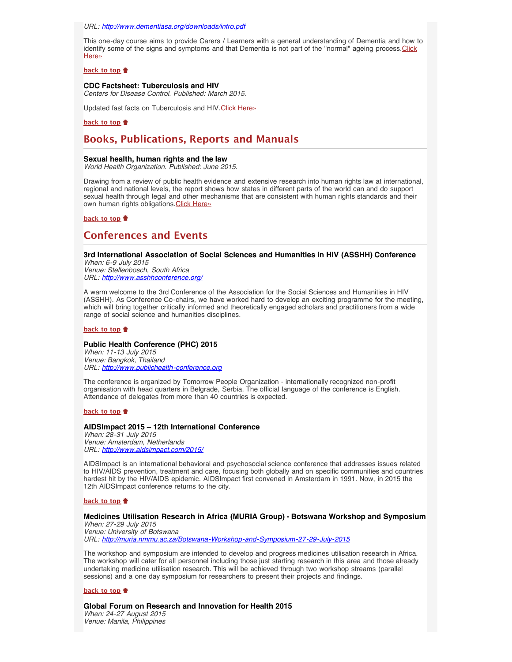*URL: <http://www.dementiasa.org/downloads/intro.pdf>*

This one-day course aims to provide Carers / Learners with a general understanding of Dementia and how to identify some of the signs and symptoms and that Dementia is not part of the "normal" ageing process.[Click](http://www.hst.org.za/events/introduction-dementia-training-course) [Here»](http://www.hst.org.za/events/introduction-dementia-training-course)

#### **[back to top](#page-0-3)**

#### <span id="page-3-0"></span>**CDC Factsheet: Tuberculosis and HIV**

*Centers for Disease Control. Published: March 2015.*

Updated fast facts on Tuberculosis and HIV. [Click Here»](http://www.cdc.gov/hiv/PDF/G-L/cdc-hiv-HIVandTB.pdf)

### **[back to top](#page-0-3)**

# <span id="page-3-1"></span>**Books, Publications, Reports and Manuals**

#### <span id="page-3-2"></span>**Sexual health, human rights and the law**

*World Health Organization. Published: June 2015.*

Drawing from a review of public health evidence and extensive research into human rights law at international, regional and national levels, the report shows how states in different parts of the world can and do support sexual health through legal and other mechanisms that are consistent with human rights standards and their own human rights obligations. [Click Here»](http://www.who.int/reproductivehealth/publications/sexual_health/sexual-health-human-rights-law/en/)

#### **[back to top](#page-0-3)**

# <span id="page-3-3"></span>**Conferences and Events**

#### <span id="page-3-4"></span>**3rd International Association of Social Sciences and Humanities in HIV (ASSHH) Conference** *When: 6-9 July 2015*

*Venue: Stellenbosch, South Africa URL: <http://www.asshhconference.org/>*

A warm welcome to the 3rd Conference of the Association for the Social Sciences and Humanities in HIV (ASSHH). As Conference Co-chairs, we have worked hard to develop an exciting programme for the meeting, which will bring together critically informed and theoretically engaged scholars and practitioners from a wide range of social science and humanities disciplines.

### **[back to top](#page-0-3)**

## <span id="page-3-5"></span>**Public Health Conference (PHC) 2015**

*When: 11-13 July 2015 Venue: Bangkok, Thailand URL: [http://www.publichealth-conference.org](http://www.publichealth-conference.org/)*

The conference is organized by Tomorrow People Organization - internationally recognized non-profit organisation with head quarters in Belgrade, Serbia. The official language of the conference is English. Attendance of delegates from more than 40 countries is expected.

#### **[back to top](#page-0-3)**

# <span id="page-3-6"></span>**AIDSImpact 2015 – 12th International Conference**

*When: 28-31 July 2015 Venue: Amsterdam, Netherlands URL: <http://www.aidsimpact.com/2015/>*

AIDSImpact is an international behavioral and psychosocial science conference that addresses issues related to HIV/AIDS prevention, treatment and care, focusing both globally and on specific communities and countries hardest hit by the HIV/AIDS epidemic. AIDSImpact first convened in Amsterdam in 1991. Now, in 2015 the 12th AIDSImpact conference returns to the city.

#### **[back to top](#page-0-3)**

## <span id="page-3-7"></span>**Medicines Utilisation Research in Africa (MURIA Group) - Botswana Workshop and Symposium**

*When: 27-29 July 2015 Venue: University of Botswana URL: <http://muria.nmmu.ac.za/Botswana-Workshop-and-Symposium-27-29-July-2015>*

The workshop and symposium are intended to develop and progress medicines utilisation research in Africa. The workshop will cater for all personnel including those just starting research in this area and those already undertaking medicine utilisation research. This will be achieved through two workshop streams (parallel sessions) and a one day symposium for researchers to present their projects and findings.

#### **[back to top](#page-0-3)**

#### <span id="page-3-8"></span>**Global Forum on Research and Innovation for Health 2015**

*When: 24-27 August 2015 Venue: Manila, Philippines*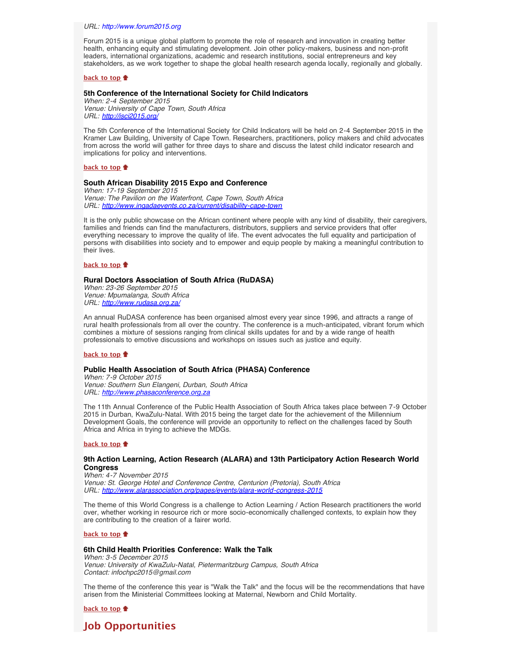*URL: [http://www.forum2015.org](http://www.forum2015.org/)*

Forum 2015 is a unique global platform to promote the role of research and innovation in creating better health, enhancing equity and stimulating development. Join other policy-makers, business and non-profit leaders, international organizations, academic and research institutions, social entrepreneurs and key stakeholders, as we work together to shape the global health research agenda locally, regionally and globally.

## **[back to top](#page-0-3)**

#### <span id="page-4-0"></span>**5th Conference of the International Society for Child Indicators**

*When: 2-4 September 2015 Venue: University of Cape Town, South Africa URL: <http://isci2015.org/>*

The 5th Conference of the International Society for Child Indicators will be held on 2-4 September 2015 in the Kramer Law Building, University of Cape Town. Researchers, practitioners, policy makers and child advocates from across the world will gather for three days to share and discuss the latest child indicator research and implications for policy and interventions.

#### **[back to top](#page-0-3)**

### <span id="page-4-1"></span>**South African Disability 2015 Expo and Conference**

*When: 17-19 September 2015 Venue: The Pavilion on the Waterfront, Cape Town, South Africa URL: <http://www.ingadaevents.co.za/current/disability-cape-town>*

It is the only public showcase on the African continent where people with any kind of disability, their caregivers, families and friends can find the manufacturers, distributors, suppliers and service providers that offer everything necessary to improve the quality of life. The event advocates the full equality and participation of persons with disabilities into society and to empower and equip people by making a meaningful contribution to their lives.

#### **[back to top](#page-0-3)**

#### <span id="page-4-2"></span>**Rural Doctors Association of South Africa (RuDASA)**

*When: 23-26 September 2015 Venue: Mpumalanga, South Africa URL: <http://www.rudasa.org.za/>*

An annual RuDASA conference has been organised almost every year since 1996, and attracts a range of rural health professionals from all over the country. The conference is a much-anticipated, vibrant forum which combines a mixture of sessions ranging from clinical skills updates for and by a wide range of health professionals to emotive discussions and workshops on issues such as justice and equity.

#### **[back to top](#page-0-3)**

#### <span id="page-4-3"></span>**Public Health Association of South Africa (PHASA) Conference**

*When: 7-9 October 2015 Venue: Southern Sun Elangeni, Durban, South Africa URL: [http://www.phasaconference.org.za](http://www.phasaconference.org.za/)*

The 11th Annual Conference of the Public Health Association of South Africa takes place between 7-9 October 2015 in Durban, KwaZulu-Natal. With 2015 being the target date for the achievement of the Millennium Development Goals, the conference will provide an opportunity to reflect on the challenges faced by South Africa and Africa in trying to achieve the MDGs.

#### **[back to top](#page-0-3)**

## <span id="page-4-4"></span>**9th Action Learning, Action Research (ALARA) and 13th Participatory Action Research World Congress**

*When: 4-7 November 2015 Venue: St. George Hotel and Conference Centre, Centurion (Pretoria), South Africa URL: <http://www.alarassociation.org/pages/events/alara-world-congress-2015>*

The theme of this World Congress is a challenge to Action Learning / Action Research practitioners the world over, whether working in resource rich or more socio-economically challenged contexts, to explain how they are contributing to the creation of a fairer world.

## **[back to top](#page-0-3)**

#### <span id="page-4-5"></span>**6th Child Health Priorities Conference: Walk the Talk**

*When: 3-5 December 2015 Venue: University of KwaZulu-Natal, Pietermaritzburg Campus, South Africa Contact: infochpc2015@gmail.com*

The theme of the conference this year is "Walk the Talk" and the focus will be the recommendations that have arisen from the Ministerial Committees looking at Maternal, Newborn and Child Mortality.

**[back to top](#page-0-3)**

# <span id="page-4-6"></span>**Job Opportunities**